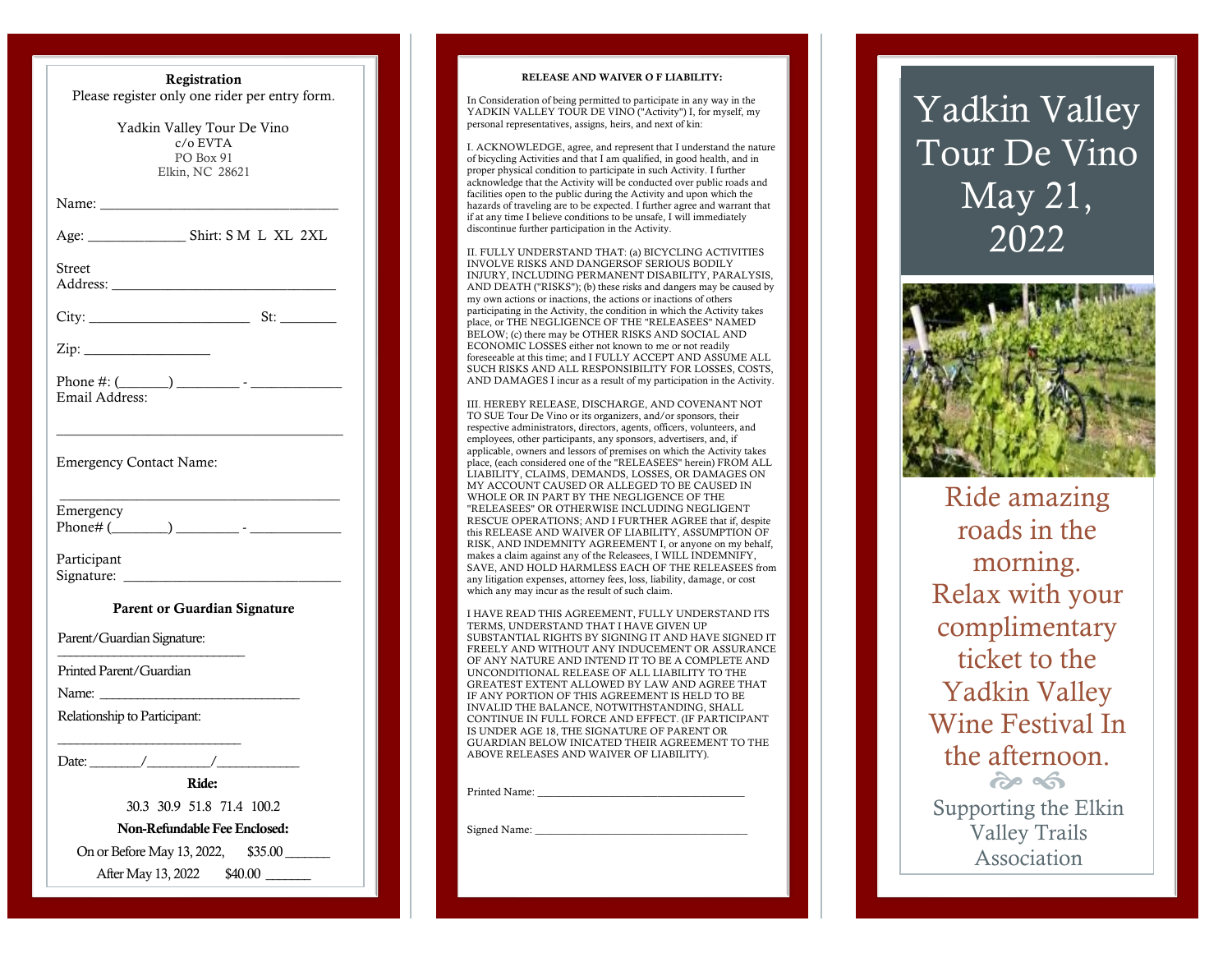| Registration                                                                  |
|-------------------------------------------------------------------------------|
| Please register only one rider per entry form.                                |
| Yadkin Valley Tour De Vino<br>$c/\sigma$ EVTA<br>PO Box 91<br>Elkin, NC 28621 |
| Name:                                                                         |
|                                                                               |
| Street                                                                        |
|                                                                               |
| Zip:                                                                          |
| Email Address:                                                                |
|                                                                               |
| <b>Emergency Contact Name:</b>                                                |
| Emergency                                                                     |
| Participant<br>Signature:                                                     |
| <b>Parent or Guardian Signature</b>                                           |
| Parent/Guardian Signature:                                                    |
| Printed Parent/Guardian                                                       |
| Name: Name                                                                    |
| Relationship to Participant:                                                  |
| Date:                                                                         |
| Ride:                                                                         |
| 30.3 30.9 51.8 71.4 100.2                                                     |
| Non-Refundable Fee Enclosed:                                                  |
| On or Before May 13, 2022,<br>\$35.00                                         |
| After May 13, 2022                                                            |

#### RELEASE AND WAIVER O F LIABILITY:

In Consideration of being permitted to participate in any way in the YADKIN VALLEY TOUR DE VINO ("Activity") I, for myself, my personal representatives, assigns, heirs, and next of kin:

I. ACKNOWLEDGE, agree, and represent that I understand the nature of bicycling Activities and that I am qualified, in good health, and in proper physical condition to participate in such Activity. I further acknowledge that the Activity will be conducted over public roads and facilities open to the public during the Activity and upon which the hazards of traveling are to be expected. I further agree and warrant that if at any time I believe conditions to be unsafe, I will immediately discontinue further participation in the Activity.

II. FULLY UNDERSTAND THAT: (a) BICYCLING ACTIVITIES INVOLVE RISKS AND DANGERSOF SERIOUS BODILY INJURY, INCLUDING PERMANENT DISABILITY, PARALYSIS, AND DEATH ("RISKS"); (b) these risks and dangers may be caused by my own actions or inactions, the actions or inactions of others participating in the Activity, the condition in which the Activity takes place, or THE NEGLIGENCE OF THE "RELEASEES" NAMED BELOW; (c) there may be OTHER RISKS AND SOCIAL AND ECONOMIC LOSSES either not known to me or not readily foreseeable at this time; and I FULLY ACCEPT AND ASSUME ALL SUCH RISKS AND ALL RESPONSIBILITY FOR LOSSES, COSTS, AND DAMAGES I incur as a result of my participation in the Activity.

III. HEREBY RELEASE, DISCHARGE, AND COVENANT NOT TO SUE Tour De Vino or its organizers, and/or sponsors, their respective administrators, directors, agents, officers, volunteers, and employees, other participants, any sponsors, advertisers, and, if applicable, owners and lessors of premises on which the Activity takes place, (each considered one of the "RELEASEES" herein) FROM ALL LIABILITY, CLAIMS, DEMANDS, LOSSES, OR DAMAGES ON MY ACCOUNT CAUSED OR ALLEGED TO BE CAUSED IN WHOLE OR IN PART BY THE NEGLIGENCE OF THE "RELEASEES" OR OTHERWISE INCLUDING NEGLIGENT RESCUE OPERATIONS; AND I FURTHER AGREE that if, despite this RELEASE AND WAIVER OF LIABILITY, ASSUMPTION OF RISK, AND INDEMNITY AGREEMENT I, or anyone on my behalf, makes a claim against any of the Releasees, I WILL INDEMNIFY, SAVE, AND HOLD HARMLESS EACH OF THE RELEASEES from any litigation expenses, attorney fees, loss, liability, damage, or cost which any may incur as the result of such claim.

I HAVE READ THIS AGREEMENT, FULLY UNDERSTAND ITS TERMS, UNDERSTAND THAT I HAVE GIVEN UP SUBSTANTIAL RIGHTS BY SIGNING IT AND HAVE SIGNED IT FREELY AND WITHOUT ANY INDUCEMENT OR ASSURANCE OF ANY NATURE AND INTEND IT TO BE A COMPLETE AND UNCONDITIONAL RELEASE OF ALL LIABILITY TO THE GREATEST EXTENT ALLOWED BY LAW AND AGREE THAT IF ANY PORTION OF THIS AGREEMENT IS HELD TO BE INVALID THE BALANCE, NOTWITHSTANDING, SHALL CONTINUE IN FULL FORCE AND EFFECT. (IF PARTICIPANT IS UNDER AGE 18, THE SIGNATURE OF PARENT OR GUARDIAN BELOW INICATED THEIR AGREEMENT TO THE ABOVE RELEASES AND WAIVER OF LIABILITY).

Printed Name:

Signed Name:

# Yadkin Valley Tour De Vino May 21, 20 2 2



Ride amazing roads in the morning. Relax with your complimentary ticket to the Yadkin Valley Wine Festival In the afternoon.  $\frac{d}{dx}$ 

Supporting the Elkin Valley Trails Association